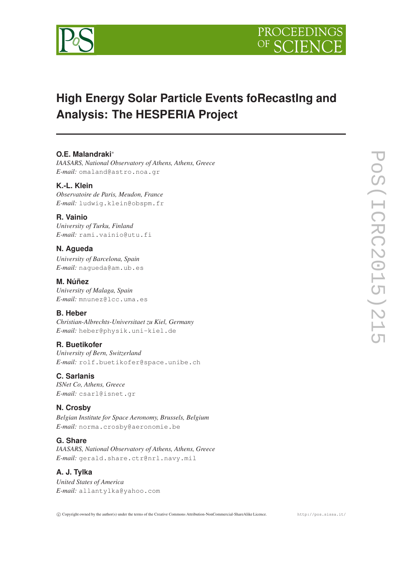

# **High Energy Solar Particle Events foRecastIng and Analysis: The HESPERIA Project**

## **O.E. Malandraki**<sup>∗</sup>

*IAASARS, National Observatory of Athens, Athens, Greece E-mail:* omaland@astro.noa.gr

## **K.-L. Klein**

*Observatoire de Paris, Meudon, France E-mail:* ludwig.klein@obspm.fr

## **R. Vainio**

*University of Turku, Finland E-mail:* rami.vainio@utu.fi

## **N. Agueda**

*University of Barcelona, Spain E-mail:* nagueda@am.ub.es

**M. Núñez** *University of Malaga, Spain E-mail:* mnunez@lcc.uma.es

## **B. Heber**

*Christian-Albrechts-Universitaet zu Kiel, Germany E-mail:* heber@physik.uni-kiel.de

#### **R. Buetikofer**

*University of Bern, Switzerland E-mail:* rolf.buetikofer@space.unibe.ch

#### **C. Sarlanis**

*ISNet Co, Athens, Greece E-mail:* csarl@isnet.gr

## **N. Crosby**

*Belgian Institute for Space Aeronomy, Brussels, Belgium E-mail:* norma.crosby@aeronomie.be

#### **G. Share**

*IAASARS, National Observatory of Athens, Athens, Greece E-mail:* gerald.share.ctr@nrl.navy.mil

# **A. J. Tylka**

*United States of America E-mail:* allantylka@yahoo.com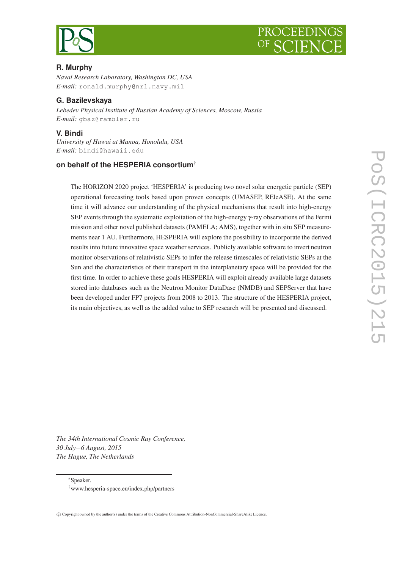



## **R. Murphy**

*Naval Research Laboratory, Washington DC, USA E-mail:* ronald.murphy@nrl.navy.mil

### **G. Bazilevskaya**

*Lebedev Physical Institute of Russian Academy of Sciences, Moscow, Russia E-mail:* gbaz@rambler.ru

### **V. Bindi**

*University of Hawai at Manoa, Honolulu, USA E-mail:* bindi@hawaii.edu

## **on behalf of the HESPERIA consortium**†

The HORIZON 2020 project 'HESPERIA' is producing two novel solar energetic particle (SEP) operational forecasting tools based upon proven concepts (UMASEP, REleASE). At the same time it will advance our understanding of the physical mechanisms that result into high-energy SEP events through the systematic exploitation of the high-energy γ-ray observations of the Fermi mission and other novel published datasets (PAMELA; AMS), together with in situ SEP measurements near 1 AU. Furthermore, HESPERIA will explore the possibility to incorporate the derived results into future innovative space weather services. Publicly available software to invert neutron monitor observations of relativistic SEPs to infer the release timescales of relativistic SEPs at the Sun and the characteristics of their transport in the interplanetary space will be provided for the first time. In order to achieve these goals HESPERIA will exploit already available large datasets stored into databases such as the Neutron Monitor DataDase (NMDB) and SEPServer that have been developed under FP7 projects from 2008 to 2013. The structure of the HESPERIA project, its main objectives, as well as the added value to SEP research will be presented and discussed.

POS(ICRC2015)21 PoS(ICRC2015)215

*The 34th International Cosmic Ray Conference, 30 July*−*6 August, 2015 The Hague, The Netherlands*

<sup>∗</sup>Speaker.

<sup>†</sup>www.hesperia-space.eu/index.php/partners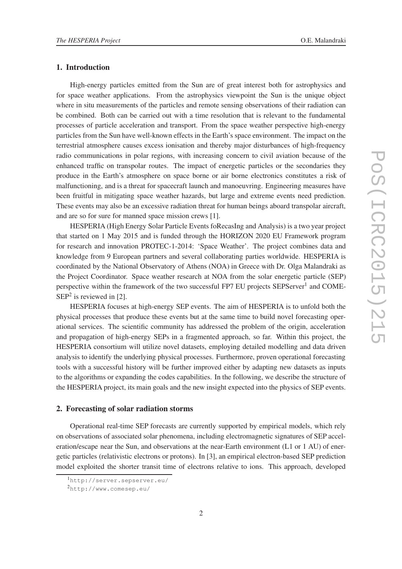#### 1. Introduction

High-energy particles emitted from the Sun are of great interest both for astrophysics and for space weather applications. From the astrophysics viewpoint the Sun is the unique object where in situ measurements of the particles and remote sensing observations of their radiation can be combined. Both can be carried out with a time resolution that is relevant to the fundamental processes of particle acceleration and transport. From the space weather perspective high-energy particles from the Sun have well-known effects in the Earth's space environment. The impact on the terrestrial atmosphere causes excess ionisation and thereby major disturbances of high-frequency radio communications in polar regions, with increasing concern to civil aviation because of the enhanced traffic on transpolar routes. The impact of energetic particles or the secondaries they produce in the Earth's atmosphere on space borne or air borne electronics constitutes a risk of malfunctioning, and is a threat for spacecraft launch and manoeuvring. Engineering measures have been fruitful in mitigating space weather hazards, but large and extreme events need prediction. These events may also be an excessive radiation threat for human beings aboard transpolar aircraft, and are so for sure for manned space mission crews [1].

HESPERIA (High Energy Solar Particle Events foRecasIng and Analysis) is a two year project that started on 1 May 2015 and is funded through the HORIZON 2020 EU Framework program for research and innovation PROTEC-1-2014: 'Space Weather'. The project combines data and knowledge from 9 European partners and several collaborating parties worldwide. HESPERIA is coordinated by the National Observatory of Athens (NOA) in Greece with Dr. Olga Malandraki as the Project Coordinator. Space weather research at NOA from the solar energetic particle (SEP) perspective within the framework of the two successful FP7 EU projects SEPServer<sup>1</sup> and COME- $SEP<sup>2</sup>$  is reviewed in [2].

HESPERIA focuses at high-energy SEP events. The aim of HESPERIA is to unfold both the physical processes that produce these events but at the same time to build novel forecasting operational services. The scientific community has addressed the problem of the origin, acceleration and propagation of high-energy SEPs in a fragmented approach, so far. Within this project, the HESPERIA consortium will utilize novel datasets, employing detailed modelling and data driven analysis to identify the underlying physical processes. Furthermore, proven operational forecasting tools with a successful history will be further improved either by adapting new datasets as inputs to the algorithms or expanding the codes capabilities. In the following, we describe the structure of the HESPERIA project, its main goals and the new insight expected into the physics of SEP events.

#### 2. Forecasting of solar radiation storms

Operational real-time SEP forecasts are currently supported by empirical models, which rely on observations of associated solar phenomena, including electromagnetic signatures of SEP acceleration/escape near the Sun, and observations at the near-Earth environment (L1 or 1 AU) of energetic particles (relativistic electrons or protons). In [3], an empirical electron-based SEP prediction model exploited the shorter transit time of electrons relative to ions. This approach, developed

<sup>1</sup>http://server.sepserver.eu/

<sup>2</sup>http://www.comesep.eu/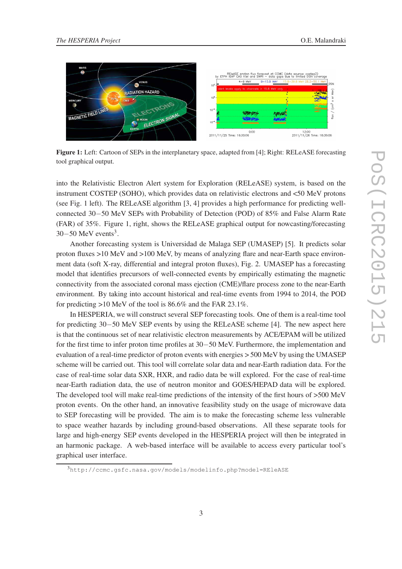

Figure 1: Left: Cartoon of SEPs in the interplanetary space, adapted from [4]; Right: RELeASE forecasting tool graphical output.

into the Relativistic Electron Alert system for Exploration (RELeASE) system, is based on the instrument COSTEP (SOHO), which provides data on relativistic electrons and <50 MeV protons (see Fig. 1 left). The RELeASE algorithm [3, 4] provides a high performance for predicting wellconnected 30−50 MeV SEPs with Probability of Detection (POD) of 85% and False Alarm Rate (FAR) of 35%. Figure 1, right, shows the RELeASE graphical output for nowcasting/forecasting  $30-50$  MeV events<sup>3</sup>.

Another forecasting system is Universidad de Malaga SEP (UMASEP) [5]. It predicts solar proton fluxes >10 MeV and >100 MeV, by means of analyzing flare and near-Earth space environment data (soft X-ray, differential and integral proton fluxes), Fig. 2. UMASEP has a forecasting model that identifies precursors of well-connected events by empirically estimating the magnetic connectivity from the associated coronal mass ejection (CME)/flare process zone to the near-Earth environment. By taking into account historical and real-time events from 1994 to 2014, the POD for predicting >10 MeV of the tool is 86.6% and the FAR 23.1%.

In HESPERIA, we will construct several SEP forecasting tools. One of them is a real-time tool for predicting 30−50 MeV SEP events by using the RELeASE scheme [4]. The new aspect here is that the continuous set of near relativistic electron measurements by ACE/EPAM will be utilized for the first time to infer proton time profiles at 30−50 MeV. Furthermore, the implementation and evaluation of a real-time predictor of proton events with energies > 500 MeV by using the UMASEP scheme will be carried out. This tool will correlate solar data and near-Earth radiation data. For the case of real-time solar data SXR, HXR, and radio data be will explored. For the case of real-time near-Earth radiation data, the use of neutron monitor and GOES/HEPAD data will be explored. The developed tool will make real-time predictions of the intensity of the first hours of >500 MeV proton events. On the other hand, an innovative feasibility study on the usage of microwave data to SEP forecasting will be provided. The aim is to make the forecasting scheme less vulnerable to space weather hazards by including ground-based observations. All these separate tools for large and high-energy SEP events developed in the HESPERIA project will then be integrated in an harmonic package. A web-based interface will be available to access every particular tool's graphical user interface.

<sup>3</sup>http://ccmc.gsfc.nasa.gov/models/modelinfo.php?model=REleASE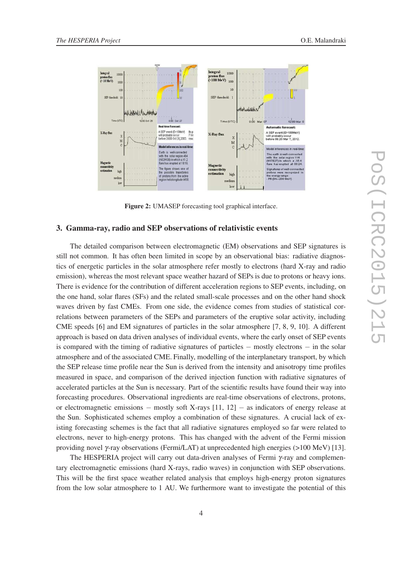

Figure 2: UMASEP forecasting tool graphical interface.

#### 3. Gamma-ray, radio and SEP observations of relativistic events

The detailed comparison between electromagnetic (EM) observations and SEP signatures is still not common. It has often been limited in scope by an observational bias: radiative diagnostics of energetic particles in the solar atmosphere refer mostly to electrons (hard X-ray and radio emission), whereas the most relevant space weather hazard of SEPs is due to protons or heavy ions. There is evidence for the contribution of different acceleration regions to SEP events, including, on the one hand, solar flares (SFs) and the related small-scale processes and on the other hand shock waves driven by fast CMEs. From one side, the evidence comes from studies of statistical correlations between parameters of the SEPs and parameters of the eruptive solar activity, including CME speeds [6] and EM signatures of particles in the solar atmosphere [7, 8, 9, 10]. A different approach is based on data driven analyses of individual events, where the early onset of SEP events is compared with the timing of radiative signatures of particles − mostly electrons − in the solar atmosphere and of the associated CME. Finally, modelling of the interplanetary transport, by which the SEP release time profile near the Sun is derived from the intensity and anisotropy time profiles measured in space, and comparison of the derived injection function with radiative signatures of accelerated particles at the Sun is necessary. Part of the scientific results have found their way into forecasting procedures. Observational ingredients are real-time observations of electrons, protons, or electromagnetic emissions – mostly soft X-rays  $[11, 12]$  – as indicators of energy release at the Sun. Sophisticated schemes employ a combination of these signatures. A crucial lack of existing forecasting schemes is the fact that all radiative signatures employed so far were related to electrons, never to high-energy protons. This has changed with the advent of the Fermi mission providing novel γ-ray observations (Fermi/LAT) at unprecedented high energies (>100 MeV) [13].

The HESPERIA project will carry out data-driven analyses of Fermi  $\gamma$ -ray and complementary electromagnetic emissions (hard X-rays, radio waves) in conjunction with SEP observations. This will be the first space weather related analysis that employs high-energy proton signatures from the low solar atmosphere to 1 AU. We furthermore want to investigate the potential of this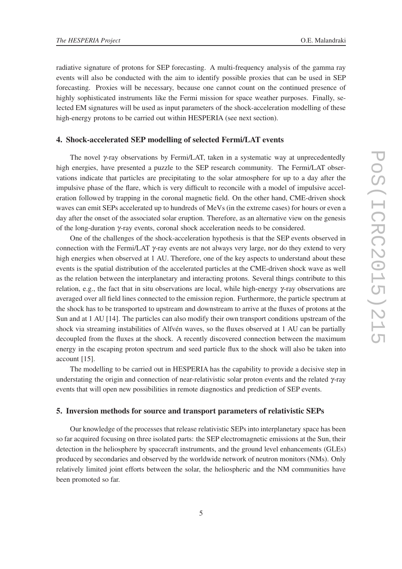radiative signature of protons for SEP forecasting. A multi-frequency analysis of the gamma ray events will also be conducted with the aim to identify possible proxies that can be used in SEP forecasting. Proxies will be necessary, because one cannot count on the continued presence of highly sophisticated instruments like the Fermi mission for space weather purposes. Finally, selected EM signatures will be used as input parameters of the shock-acceleration modelling of these high-energy protons to be carried out within HESPERIA (see next section).

#### 4. Shock-accelerated SEP modelling of selected Fermi/LAT events

The novel  $\gamma$ -ray observations by Fermi/LAT, taken in a systematic way at unprecedentedly high energies, have presented a puzzle to the SEP research community. The Fermi/LAT observations indicate that particles are precipitating to the solar atmosphere for up to a day after the impulsive phase of the flare, which is very difficult to reconcile with a model of impulsive acceleration followed by trapping in the coronal magnetic field. On the other hand, CME-driven shock waves can emit SEPs accelerated up to hundreds of MeVs (in the extreme cases) for hours or even a day after the onset of the associated solar eruption. Therefore, as an alternative view on the genesis of the long-duration γ-ray events, coronal shock acceleration needs to be considered.

One of the challenges of the shock-acceleration hypothesis is that the SEP events observed in connection with the Fermi/LAT  $\gamma$ -ray events are not always very large, nor do they extend to very high energies when observed at 1 AU. Therefore, one of the key aspects to understand about these events is the spatial distribution of the accelerated particles at the CME-driven shock wave as well as the relation between the interplanetary and interacting protons. Several things contribute to this relation, e.g., the fact that in situ observations are local, while high-energy γ-ray observations are averaged over all field lines connected to the emission region. Furthermore, the particle spectrum at the shock has to be transported to upstream and downstream to arrive at the fluxes of protons at the Sun and at 1 AU [14]. The particles can also modify their own transport conditions upstream of the shock via streaming instabilities of Alfvén waves, so the fluxes observed at 1 AU can be partially decoupled from the fluxes at the shock. A recently discovered connection between the maximum energy in the escaping proton spectrum and seed particle flux to the shock will also be taken into account [15].

The modelling to be carried out in HESPERIA has the capability to provide a decisive step in understating the origin and connection of near-relativistic solar proton events and the related γ-ray events that will open new possibilities in remote diagnostics and prediction of SEP events.

#### 5. Inversion methods for source and transport parameters of relativistic SEPs

Our knowledge of the processes that release relativistic SEPs into interplanetary space has been so far acquired focusing on three isolated parts: the SEP electromagnetic emissions at the Sun, their detection in the heliosphere by spacecraft instruments, and the ground level enhancements (GLEs) produced by secondaries and observed by the worldwide network of neutron monitors (NMs). Only relatively limited joint efforts between the solar, the heliospheric and the NM communities have been promoted so far.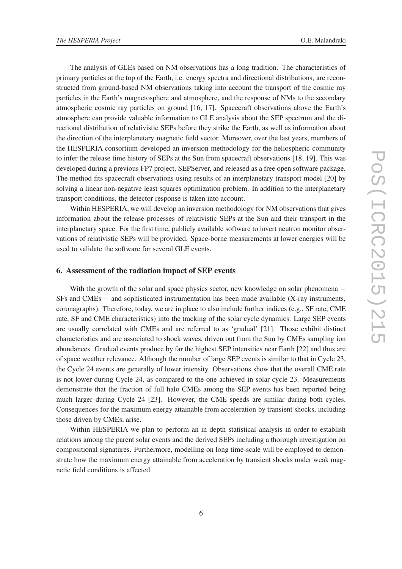The analysis of GLEs based on NM observations has a long tradition. The characteristics of primary particles at the top of the Earth, i.e. energy spectra and directional distributions, are reconstructed from ground-based NM observations taking into account the transport of the cosmic ray particles in the Earth's magnetosphere and atmosphere, and the response of NMs to the secondary atmospheric cosmic ray particles on ground [16, 17]. Spacecraft observations above the Earth's atmosphere can provide valuable information to GLE analysis about the SEP spectrum and the directional distribution of relativistic SEPs before they strike the Earth, as well as information about the direction of the interplanetary magnetic field vector. Moreover, over the last years, members of the HESPERIA consortium developed an inversion methodology for the heliospheric community to infer the release time history of SEPs at the Sun from spacecraft observations [18, 19]. This was developed during a previous FP7 project, SEPServer, and released as a free open software package. The method fits spacecraft observations using results of an interplanetary transport model [20] by solving a linear non-negative least squares optimization problem. In addition to the interplanetary transport conditions, the detector response is taken into account.

Within HESPERIA, we will develop an inversion methodology for NM observations that gives information about the release processes of relativistic SEPs at the Sun and their transport in the interplanetary space. For the first time, publicly available software to invert neutron monitor observations of relativistic SEPs will be provided. Space-borne measurements at lower energies will be used to validate the software for several GLE events.

#### 6. Assessment of the radiation impact of SEP events

With the growth of the solar and space physics sector, new knowledge on solar phenomena − SFs and CMEs − and sophisticated instrumentation has been made available (X-ray instruments, coronagraphs). Therefore, today, we are in place to also include further indices (e.g., SF rate, CME rate, SF and CME characteristics) into the tracking of the solar cycle dynamics. Large SEP events are usually correlated with CMEs and are referred to as 'gradual' [21]. Those exhibit distinct characteristics and are associated to shock waves, driven out from the Sun by CMEs sampling ion abundances. Gradual events produce by far the highest SEP intensities near Earth [22] and thus are of space weather relevance. Although the number of large SEP events is similar to that in Cycle 23, the Cycle 24 events are generally of lower intensity. Observations show that the overall CME rate is not lower during Cycle 24, as compared to the one achieved in solar cycle 23. Measurements demonstrate that the fraction of full halo CMEs among the SEP events has been reported being much larger during Cycle 24 [23]. However, the CME speeds are similar during both cycles. Consequences for the maximum energy attainable from acceleration by transient shocks, including those driven by CMEs, arise.

Within HESPERIA we plan to perform an in depth statistical analysis in order to establish relations among the parent solar events and the derived SEPs including a thorough investigation on compositional signatures. Furthermore, modelling on long time-scale will be employed to demonstrate how the maximum energy attainable from acceleration by transient shocks under weak magnetic field conditions is affected.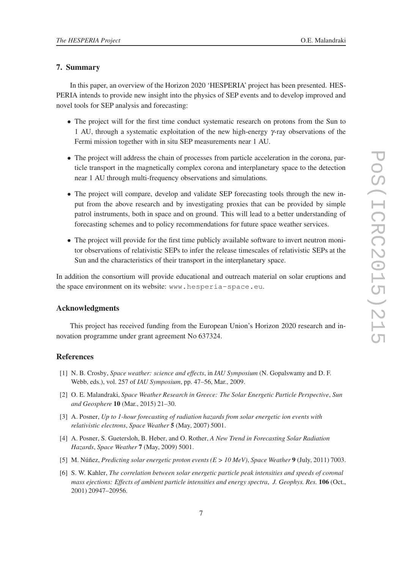#### 7. Summary

In this paper, an overview of the Horizon 2020 'HESPERIA' project has been presented. HES-PERIA intends to provide new insight into the physics of SEP events and to develop improved and novel tools for SEP analysis and forecasting:

- The project will for the first time conduct systematic research on protons from the Sun to 1 AU, through a systematic exploitation of the new high-energy γ-ray observations of the Fermi mission together with in situ SEP measurements near 1 AU.
- The project will address the chain of processes from particle acceleration in the corona, particle transport in the magnetically complex corona and interplanetary space to the detection near 1 AU through multi-frequency observations and simulations.
- The project will compare, develop and validate SEP forecasting tools through the new input from the above research and by investigating proxies that can be provided by simple patrol instruments, both in space and on ground. This will lead to a better understanding of forecasting schemes and to policy recommendations for future space weather services.
- The project will provide for the first time publicly available software to invert neutron monitor observations of relativistic SEPs to infer the release timescales of relativistic SEPs at the Sun and the characteristics of their transport in the interplanetary space.

In addition the consortium will provide educational and outreach material on solar eruptions and the space environment on its website: www.hesperia-space.eu.

#### Acknowledgments

This project has received funding from the European Union's Horizon 2020 research and innovation programme under grant agreement No 637324.

#### **References**

- [1] N. B. Crosby, *Space weather: science and effects*, in *IAU Symposium* (N. Gopalswamy and D. F. Webb, eds.), vol. 257 of *IAU Symposium*, pp. 47–56, Mar., 2009.
- [2] O. E. Malandraki, *Space Weather Research in Greece: The Solar Energetic Particle Perspective*, *Sun and Geosphere* 10 (Mar., 2015) 21–30.
- [3] A. Posner, *Up to 1-hour forecasting of radiation hazards from solar energetic ion events with relativistic electrons*, *Space Weather* 5 (May, 2007) 5001.
- [4] A. Posner, S. Guetersloh, B. Heber, and O. Rother, *A New Trend in Forecasting Solar Radiation Hazards*, *Space Weather* 7 (May, 2009) 5001.
- [5] M. Núñez, *Predicting solar energetic proton events (E > 10 MeV)*, *Space Weather* 9 (July, 2011) 7003.
- [6] S. W. Kahler, *The correlation between solar energetic particle peak intensities and speeds of coronal mass ejections: Effects of ambient particle intensities and energy spectra*, *J. Geophys. Res.* 106 (Oct., 2001) 20947–20956.